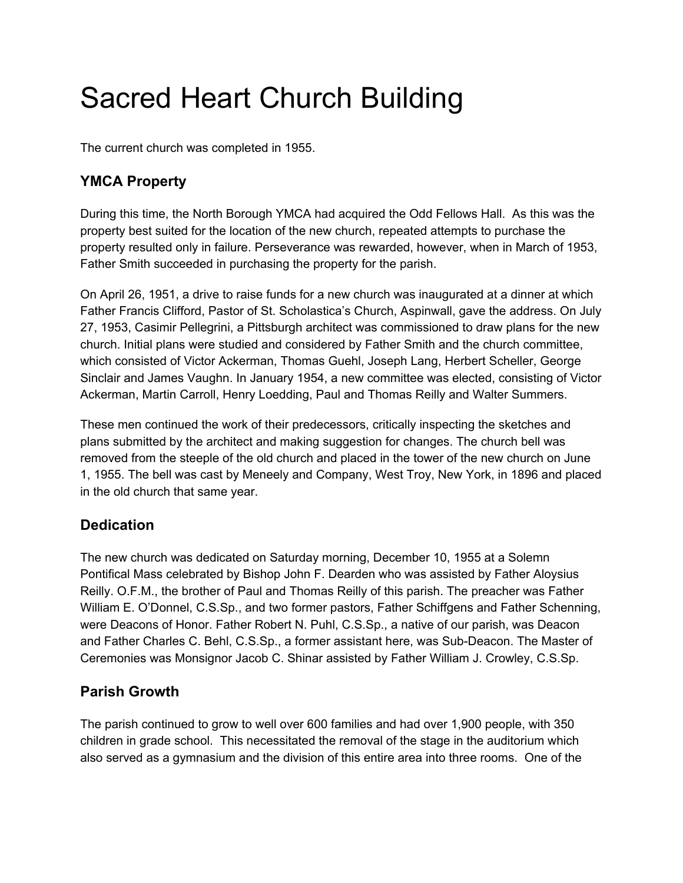# Sacred Heart Church Building

The current church was completed in 1955.

## **YMCA Property**

During this time, the North Borough YMCA had acquired the Odd Fellows Hall. As this was the property best suited for the location of the new church, repeated attempts to purchase the property resulted only in failure. Perseverance was rewarded, however, when in March of 1953, Father Smith succeeded in purchasing the property for the parish.

On April 26, 1951, a drive to raise funds for a new church was inaugurated at a dinner at which Father Francis Clifford, Pastor of St. Scholastica's Church, Aspinwall, gave the address. On July 27, 1953, Casimir Pellegrini, a Pittsburgh architect was commissioned to draw plans for the new church. Initial plans were studied and considered by Father Smith and the church committee, which consisted of Victor Ackerman, Thomas Guehl, Joseph Lang, Herbert Scheller, George Sinclair and James Vaughn. In January 1954, a new committee was elected, consisting of Victor Ackerman, Martin Carroll, Henry Loedding, Paul and Thomas Reilly and Walter Summers.

These men continued the work of their predecessors, critically inspecting the sketches and plans submitted by the architect and making suggestion for changes. The church bell was removed from the steeple of the old church and placed in the tower of the new church on June 1, 1955. The bell was cast by Meneely and Company, West Troy, New York, in 1896 and placed in the old church that same year.

## **Dedication**

The new church was dedicated on Saturday morning, December 10, 1955 at a Solemn Pontifical Mass celebrated by Bishop John F. Dearden who was assisted by Father Aloysius Reilly. O.F.M., the brother of Paul and Thomas Reilly of this parish. The preacher was Father William E. O'Donnel, C.S.Sp., and two former pastors, Father Schiffgens and Father Schenning, were Deacons of Honor. Father Robert N. Puhl, C.S.Sp., a native of our parish, was Deacon and Father Charles C. Behl, C.S.Sp., a former assistant here, was Sub-Deacon. The Master of Ceremonies was Monsignor Jacob C. Shinar assisted by Father William J. Crowley, C.S.Sp.

#### **Parish Growth**

The parish continued to grow to well over 600 families and had over 1,900 people, with 350 children in grade school. This necessitated the removal of the stage in the auditorium which also served as a gymnasium and the division of this entire area into three rooms. One of the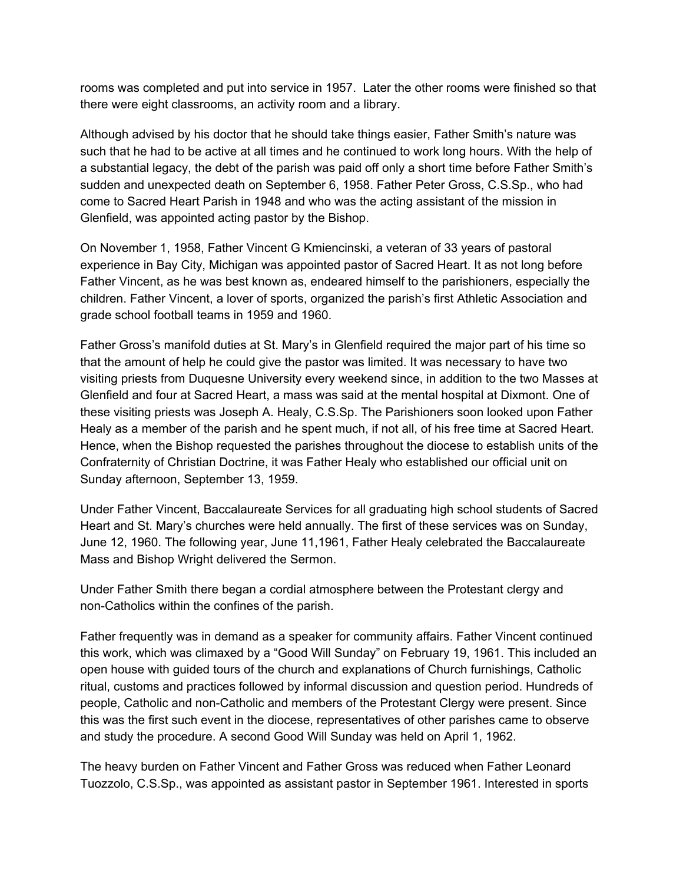rooms was completed and put into service in 1957. Later the other rooms were finished so that there were eight classrooms, an activity room and a library.

Although advised by his doctor that he should take things easier, Father Smith's nature was such that he had to be active at all times and he continued to work long hours. With the help of a substantial legacy, the debt of the parish was paid off only a short time before Father Smith's sudden and unexpected death on September 6, 1958. Father Peter Gross, C.S.Sp., who had come to Sacred Heart Parish in 1948 and who was the acting assistant of the mission in Glenfield, was appointed acting pastor by the Bishop.

On November 1, 1958, Father Vincent G Kmiencinski, a veteran of 33 years of pastoral experience in Bay City, Michigan was appointed pastor of Sacred Heart. It as not long before Father Vincent, as he was best known as, endeared himself to the parishioners, especially the children. Father Vincent, a lover of sports, organized the parish's first Athletic Association and grade school football teams in 1959 and 1960.

Father Gross's manifold duties at St. Mary's in Glenfield required the major part of his time so that the amount of help he could give the pastor was limited. It was necessary to have two visiting priests from Duquesne University every weekend since, in addition to the two Masses at Glenfield and four at Sacred Heart, a mass was said at the mental hospital at Dixmont. One of these visiting priests was Joseph A. Healy, C.S.Sp. The Parishioners soon looked upon Father Healy as a member of the parish and he spent much, if not all, of his free time at Sacred Heart. Hence, when the Bishop requested the parishes throughout the diocese to establish units of the Confraternity of Christian Doctrine, it was Father Healy who established our official unit on Sunday afternoon, September 13, 1959.

Under Father Vincent, Baccalaureate Services for all graduating high school students of Sacred Heart and St. Mary's churches were held annually. The first of these services was on Sunday, June 12, 1960. The following year, June 11,1961, Father Healy celebrated the Baccalaureate Mass and Bishop Wright delivered the Sermon.

Under Father Smith there began a cordial atmosphere between the Protestant clergy and non-Catholics within the confines of the parish.

Father frequently was in demand as a speaker for community affairs. Father Vincent continued this work, which was climaxed by a "Good Will Sunday" on February 19, 1961. This included an open house with guided tours of the church and explanations of Church furnishings, Catholic ritual, customs and practices followed by informal discussion and question period. Hundreds of people, Catholic and non-Catholic and members of the Protestant Clergy were present. Since this was the first such event in the diocese, representatives of other parishes came to observe and study the procedure. A second Good Will Sunday was held on April 1, 1962.

The heavy burden on Father Vincent and Father Gross was reduced when Father Leonard Tuozzolo, C.S.Sp., was appointed as assistant pastor in September 1961. Interested in sports